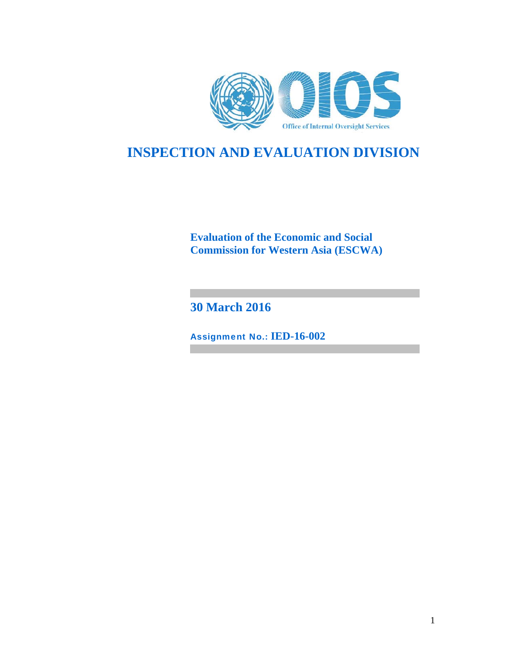

# **INSPECTION AND EVALUATION DIVISION**

**Evaluation of the Economic and Social Commission for Western Asia (ESCWA)** 

**30 March 2016**

Assignment No.: **IED-16-002**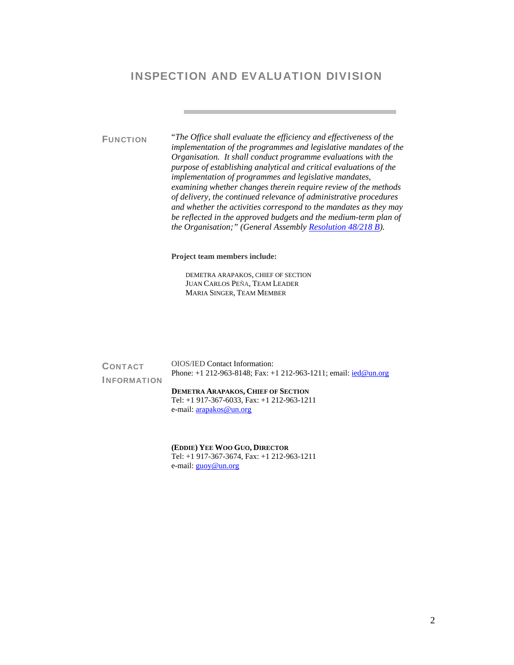# INSPECTION AND EVALUATION DIVISION

FUNCTION "*The Office shall evaluate the efficiency and effectiveness of the implementation of the programmes and legislative mandates of the Organisation. It shall conduct programme evaluations with the purpose of establishing analytical and critical evaluations of the implementation of programmes and legislative mandates, examining whether changes therein require review of the methods of delivery, the continued relevance of administrative procedures and whether the activities correspond to the mandates as they may be reflected in the approved budgets and the medium-term plan of the Organisation;" (General Assembly Resolution 48/218 B).*

**Project team members include:** 

DEMETRA ARAPAKOS, CHIEF OF SECTION JUAN CARLOS PEÑA, TEAM LEADER MARIA SINGER, TEAM MEMBER

**CONTACT** INFORMATION OIOS/IED Contact Information: Phone: +1 212-963-8148; Fax: +1 212-963-1211; email: ied@un.org **DEMETRA ARAPAKOS, CHIEF OF SECTION** Tel: +1 917-367-6033, Fax: +1 212-963-1211 e-mail: arapakos@un.org

> **(EDDIE) YEE WOO GUO, DIRECTOR**  Tel: +1 917-367-3674, Fax: +1 212-963-1211 e-mail: **guoy@un.org**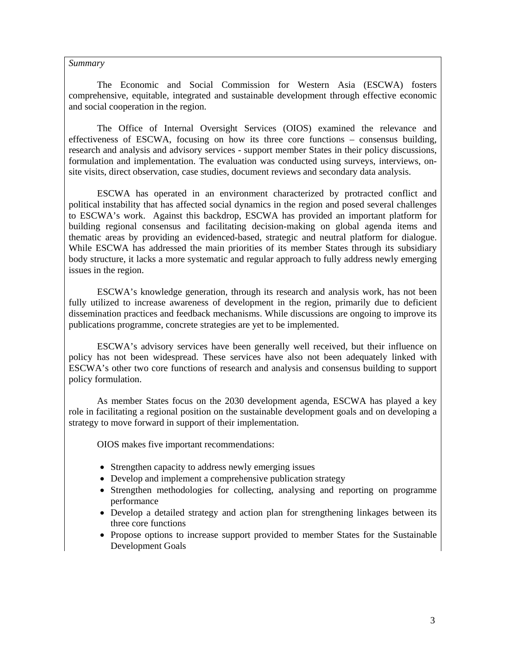#### *Summary*

The Economic and Social Commission for Western Asia (ESCWA) fosters comprehensive, equitable, integrated and sustainable development through effective economic and social cooperation in the region.

The Office of Internal Oversight Services (OIOS) examined the relevance and effectiveness of ESCWA, focusing on how its three core functions – consensus building, research and analysis and advisory services - support member States in their policy discussions, formulation and implementation. The evaluation was conducted using surveys, interviews, onsite visits, direct observation, case studies, document reviews and secondary data analysis.

ESCWA has operated in an environment characterized by protracted conflict and political instability that has affected social dynamics in the region and posed several challenges to ESCWA's work. Against this backdrop, ESCWA has provided an important platform for building regional consensus and facilitating decision-making on global agenda items and thematic areas by providing an evidenced-based, strategic and neutral platform for dialogue. While ESCWA has addressed the main priorities of its member States through its subsidiary body structure, it lacks a more systematic and regular approach to fully address newly emerging issues in the region.

ESCWA's knowledge generation, through its research and analysis work, has not been fully utilized to increase awareness of development in the region, primarily due to deficient dissemination practices and feedback mechanisms. While discussions are ongoing to improve its publications programme, concrete strategies are yet to be implemented.

ESCWA's advisory services have been generally well received, but their influence on policy has not been widespread. These services have also not been adequately linked with ESCWA's other two core functions of research and analysis and consensus building to support policy formulation.

As member States focus on the 2030 development agenda, ESCWA has played a key role in facilitating a regional position on the sustainable development goals and on developing a strategy to move forward in support of their implementation.

OIOS makes five important recommendations:

- Strengthen capacity to address newly emerging issues
- Develop and implement a comprehensive publication strategy
- Strengthen methodologies for collecting, analysing and reporting on programme performance
- Develop a detailed strategy and action plan for strengthening linkages between its three core functions
- Propose options to increase support provided to member States for the Sustainable Development Goals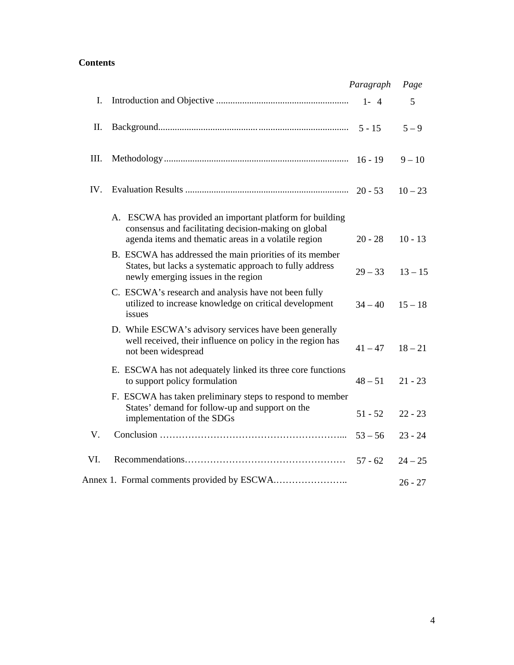# **Contents**

|     |                                                                                                                                                                          | Paragraph | Page      |
|-----|--------------------------------------------------------------------------------------------------------------------------------------------------------------------------|-----------|-----------|
| Ι.  |                                                                                                                                                                          | $1 - 4$   | 5         |
| II. |                                                                                                                                                                          |           | $5 - 9$   |
| Ш.  |                                                                                                                                                                          |           | $9 - 10$  |
| IV. |                                                                                                                                                                          | $20 - 53$ | $10 - 23$ |
|     | A. ESCWA has provided an important platform for building<br>consensus and facilitating decision-making on global<br>agenda items and thematic areas in a volatile region | $20 - 28$ | $10 - 13$ |
|     | B. ESCWA has addressed the main priorities of its member<br>States, but lacks a systematic approach to fully address<br>newly emerging issues in the region              | $29 - 33$ | $13 - 15$ |
|     | C. ESCWA's research and analysis have not been fully<br>utilized to increase knowledge on critical development<br>issues                                                 | $34 - 40$ | $15 - 18$ |
|     | D. While ESCWA's advisory services have been generally<br>well received, their influence on policy in the region has<br>not been widespread                              | $41 - 47$ | $18 - 21$ |
|     | E. ESCWA has not adequately linked its three core functions<br>to support policy formulation                                                                             | $48 - 51$ | $21 - 23$ |
|     | F. ESCWA has taken preliminary steps to respond to member<br>States' demand for follow-up and support on the<br>implementation of the SDGs                               | $51 - 52$ | $22 - 23$ |
| V.  |                                                                                                                                                                          | $53 - 56$ | $23 - 24$ |
| VI. |                                                                                                                                                                          | $57 - 62$ | $24 - 25$ |
|     |                                                                                                                                                                          |           | $26 - 27$ |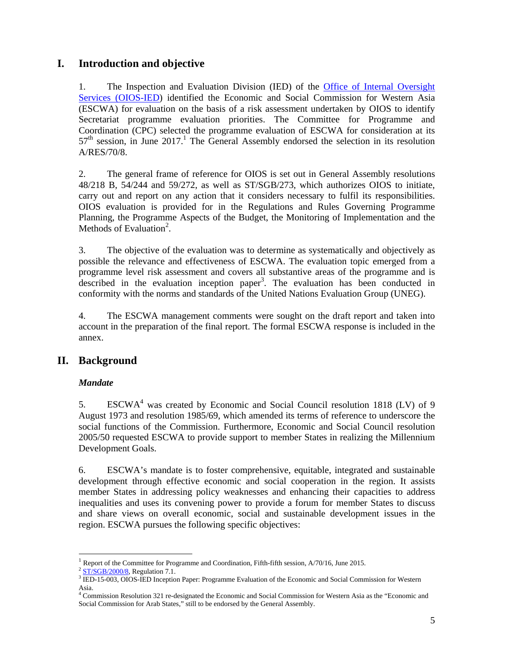# **I. Introduction and objective**

1. The Inspection and Evaluation Division (IED) of the Office of Internal Oversight Services (OIOS-IED) identified the Economic and Social Commission for Western Asia (ESCWA) for evaluation on the basis of a risk assessment undertaken by OIOS to identify Secretariat programme evaluation priorities. The Committee for Programme and Coordination (CPC) selected the programme evaluation of ESCWA for consideration at its  $57<sup>th</sup>$  session, in June 2017.<sup>1</sup> The General Assembly endorsed the selection in its resolution A/RES/70/8.

2. The general frame of reference for OIOS is set out in General Assembly resolutions 48/218 B, 54/244 and 59/272, as well as ST/SGB/273, which authorizes OIOS to initiate, carry out and report on any action that it considers necessary to fulfil its responsibilities. OIOS evaluation is provided for in the Regulations and Rules Governing Programme Planning, the Programme Aspects of the Budget, the Monitoring of Implementation and the Methods of Evaluation<sup>2</sup>.

3. The objective of the evaluation was to determine as systematically and objectively as possible the relevance and effectiveness of ESCWA. The evaluation topic emerged from a programme level risk assessment and covers all substantive areas of the programme and is described in the evaluation inception paper<sup>3</sup>. The evaluation has been conducted in conformity with the norms and standards of the United Nations Evaluation Group (UNEG).

4. The ESCWA management comments were sought on the draft report and taken into account in the preparation of the final report. The formal ESCWA response is included in the annex.

# **II. Background**

#### *Mandate*

-

5. ESCWA<sup>4</sup> was created by Economic and Social Council resolution 1818 (LV) of 9 August 1973 and resolution 1985/69, which amended its terms of reference to underscore the social functions of the Commission. Furthermore, Economic and Social Council resolution 2005/50 requested ESCWA to provide support to member States in realizing the Millennium Development Goals.

6. ESCWA's mandate is to foster comprehensive, equitable, integrated and sustainable development through effective economic and social cooperation in the region. It assists member States in addressing policy weaknesses and enhancing their capacities to address inequalities and uses its convening power to provide a forum for member States to discuss and share views on overall economic, social and sustainable development issues in the region. ESCWA pursues the following specific objectives:

<sup>&</sup>lt;sup>1</sup> Report of the Committee for Programme and Coordination, Fifth-fifth session,  $A/70/16$ , June 2015.

 $2$  ST/SGB/2000/8, Regulation 7.1.

IED-15-003, OIOS-IED Inception Paper: Programme Evaluation of the Economic and Social Commission for Western Asia.

<sup>4</sup> Commission Resolution 321 re-designated the Economic and Social Commission for Western Asia as the "Economic and Social Commission for Arab States," still to be endorsed by the General Assembly.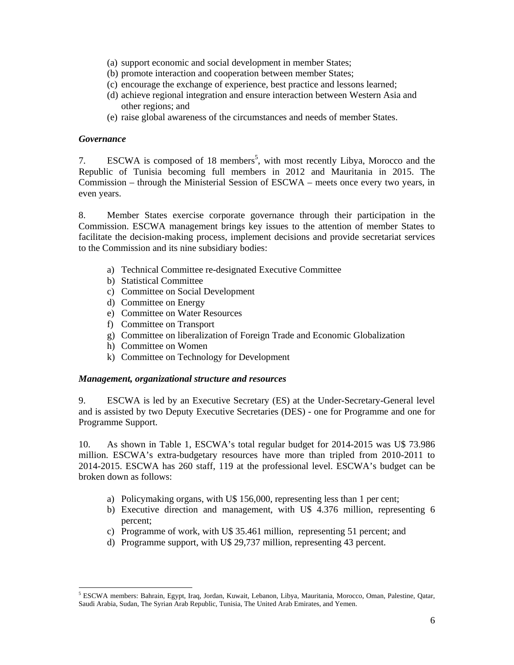- (a) support economic and social development in member States;
- (b) promote interaction and cooperation between member States;
- (c) encourage the exchange of experience, best practice and lessons learned;
- (d) achieve regional integration and ensure interaction between Western Asia and other regions; and
- (e) raise global awareness of the circumstances and needs of member States.

#### *Governance*

-

7. ESCWA is composed of 18 members<sup>5</sup>, with most recently Libya, Morocco and the Republic of Tunisia becoming full members in 2012 and Mauritania in 2015. The Commission – through the Ministerial Session of ESCWA – meets once every two years, in even years.

8. Member States exercise corporate governance through their participation in the Commission. ESCWA management brings key issues to the attention of member States to facilitate the decision-making process, implement decisions and provide secretariat services to the Commission and its nine subsidiary bodies:

- a) Technical Committee re-designated Executive Committee
- b) Statistical Committee
- c) Committee on Social Development
- d) Committee on Energy
- e) Committee on Water Resources
- f) Committee on Transport
- g) Committee on liberalization of Foreign Trade and Economic Globalization
- h) Committee on Women
- k) Committee on Technology for Development

#### *Management, organizational structure and resources*

9. ESCWA is led by an Executive Secretary (ES) at the Under-Secretary-General level and is assisted by two Deputy Executive Secretaries (DES) - one for Programme and one for Programme Support.

10. As shown in Table 1, ESCWA's total regular budget for 2014-2015 was U\$ 73.986 million. ESCWA's extra-budgetary resources have more than tripled from 2010-2011 to 2014-2015. ESCWA has 260 staff, 119 at the professional level. ESCWA's budget can be broken down as follows:

- a) Policymaking organs, with U\$ 156,000, representing less than 1 per cent;
- b) Executive direction and management, with U\$ 4.376 million, representing 6 percent;
- c) Programme of work, with U\$ 35.461 million, representing 51 percent; and
- d) Programme support, with U\$ 29,737 million, representing 43 percent.

<sup>5</sup> ESCWA members: Bahrain, Egypt, Iraq, Jordan, Kuwait, Lebanon, Libya, Mauritania, Morocco, Oman, Palestine, Qatar, Saudi Arabia, Sudan, The Syrian Arab Republic, Tunisia, The United Arab Emirates, and Yemen.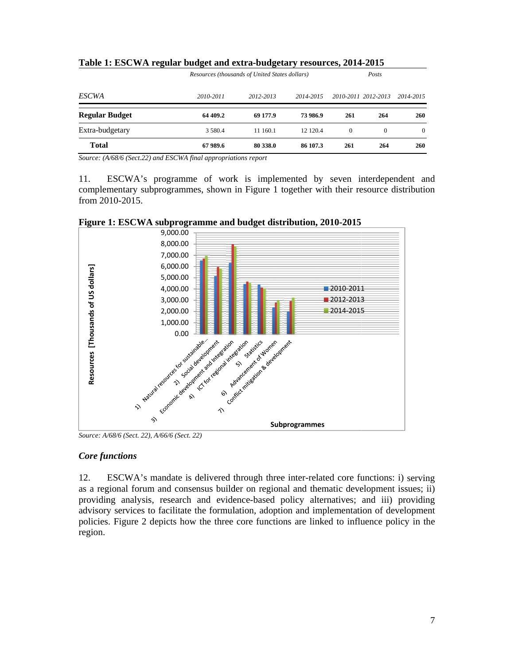| Table 1: ESCWA regular budget and extra-budgetary resources, 2014-2015 |                                                |           |           |          |                     |           |
|------------------------------------------------------------------------|------------------------------------------------|-----------|-----------|----------|---------------------|-----------|
|                                                                        | Resources (thousands of United States dollars) |           |           |          | Posts               |           |
| <b>ESCWA</b>                                                           | 2010-2011                                      | 2012-2013 | 2014-2015 |          | 2010-2011 2012-2013 | 2014-2015 |
| Regular Budget                                                         | 64 409.2                                       | 69 177.9  | 73 986.9  | 261      | 264                 | 260       |
| Extra-budgetary                                                        | 3 580.4                                        | 11 160.1  | 12 120.4  | $\Omega$ | $\Omega$            | $\Omega$  |
| <b>Total</b>                                                           | 67989.6                                        | 80 338.0  | 86 107.3  | 261      | 264                 | 260       |

Table 1: ESCWA regular budget and extra-budgetary resources, 2014-2015

Source: (A/68/6 (Sect.22) and ESCWA final appropriations report

11. complementary subprogrammes, shown in Figure 1 together with their resource distribution from 2010-2015. ESCWA's programme of work is implemented by seven interdependent and





*Source: A/ /68/6 (Sect. 22) ), A/66/6 (Sect. 22)* 

#### *Core functions*

12. ESCWA's mandate is delivered through three inter-related core functions: i) serving as a regional forum and consensus builder on regional and thematic development issues; ii) providing analysis, research and evidence-based policy alternatives; and iii) providing advisory services to facilitate the formulation, adoption and implementation of development policies. Figure 2 depicts how the three core functions are linked to influence policy in the region.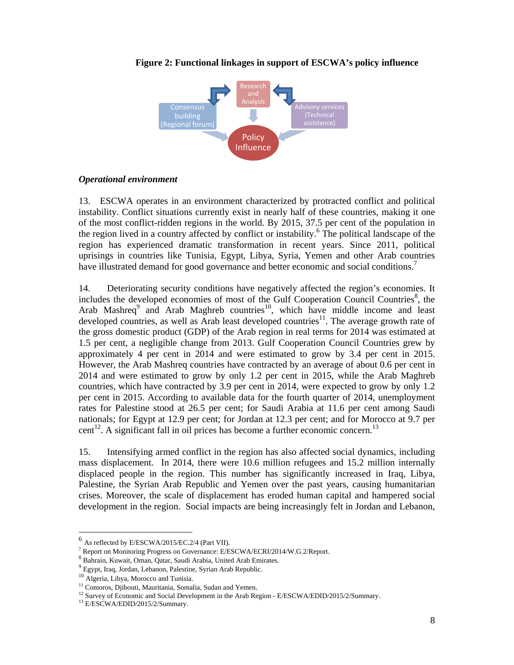

#### **Figure 2: Functional linkages in support of ESCWA's policy influence**

#### *Operational environment*

13. ESCWA operates in an environment characterized by protracted conflict and political instability. Conflict situations currently exist in nearly half of these countries, making it one of the most conflict-ridden regions in the world. By 2015, 37.5 per cent of the population in the region lived in a country affected by conflict or instability.<sup>6</sup> The political landscape of the region has experienced dramatic transformation in recent years. Since 2011, political uprisings in countries like Tunisia, Egypt, Libya, Syria, Yemen and other Arab countries have illustrated demand for good governance and better economic and social conditions.<sup>7</sup>

14. Deteriorating security conditions have negatively affected the region's economies. It includes the developed economies of most of the Gulf Cooperation Council Countries<sup>8</sup>, the Arab Mashreq<sup>9</sup> and Arab Maghreb countries<sup>10</sup>, which have middle income and least developed countries, as well as Arab least developed countries<sup>11</sup>. The average growth rate of the gross domestic product (GDP) of the Arab region in real terms for 2014 was estimated at 1.5 per cent, a negligible change from 2013. Gulf Cooperation Council Countries grew by approximately 4 per cent in 2014 and were estimated to grow by 3.4 per cent in 2015. However, the Arab Mashreq countries have contracted by an average of about 0.6 per cent in 2014 and were estimated to grow by only 1.2 per cent in 2015, while the Arab Maghreb countries, which have contracted by 3.9 per cent in 2014, were expected to grow by only 1.2 per cent in 2015. According to available data for the fourth quarter of 2014, unemployment rates for Palestine stood at 26.5 per cent; for Saudi Arabia at 11.6 per cent among Saudi nationals; for Egypt at 12.9 per cent; for Jordan at 12.3 per cent; and for Morocco at 9.7 per cent<sup>12</sup>. A significant fall in oil prices has become a further economic concern.<sup>13</sup>

15. Intensifying armed conflict in the region has also affected social dynamics, including mass displacement. In 2014, there were 10.6 million refugees and 15.2 million internally displaced people in the region. This number has significantly increased in Iraq, Libya, Palestine, the Syrian Arab Republic and Yemen over the past years, causing humanitarian crises. Moreover, the scale of displacement has eroded human capital and hampered social development in the region. Social impacts are being increasingly felt in Jordan and Lebanon,

-

 $^6$  As reflected by E/ESCWA/2015/EC.2/4 (Part VII).

<sup>&</sup>lt;sup>7</sup> Report on Monitoring Progress on Governance: E/ESCWA/ECRI/2014/W.G.2/Report.

 $^8$  Bahrain, Kuwait, Oman, Qatar, Saudi Arabia, United Arab Emirates.<br><sup>9</sup> Egypt, Iraq, Jordan, Lebanon, Palestine, Syrian Arab Republic.

<sup>&</sup>lt;sup>10</sup> Algeria, Libya, Morocco and Tunisia.<br><sup>11</sup> Comoros, Djibouti, Mauritania, Somalia, Sudan and Yemen.<br><sup>12</sup> Survey of Economic and Social Development in the Arab Region - E/ESCWA/EDID/2015/2/Summary.<br><sup>13</sup> E/ESCWA/EDID/20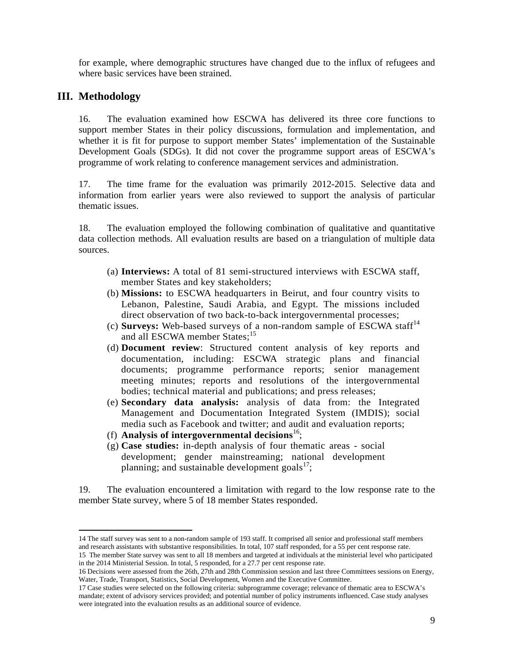for example, where demographic structures have changed due to the influx of refugees and where basic services have been strained.

# **III. Methodology**

-

16. The evaluation examined how ESCWA has delivered its three core functions to support member States in their policy discussions, formulation and implementation, and whether it is fit for purpose to support member States' implementation of the Sustainable Development Goals (SDGs). It did not cover the programme support areas of ESCWA's programme of work relating to conference management services and administration.

17. The time frame for the evaluation was primarily 2012-2015. Selective data and information from earlier years were also reviewed to support the analysis of particular thematic issues.

18. The evaluation employed the following combination of qualitative and quantitative data collection methods. All evaluation results are based on a triangulation of multiple data sources.

- (a) **Interviews:** A total of 81 semi-structured interviews with ESCWA staff, member States and key stakeholders;
- (b) **Missions:** to ESCWA headquarters in Beirut, and four country visits to Lebanon, Palestine, Saudi Arabia, and Egypt. The missions included direct observation of two back-to-back intergovernmental processes;
- (c) **Surveys:** Web-based surveys of a non-random sample of ESCWA staff<sup>14</sup> and all ESCWA member States;<sup>15</sup>
- (d) **Document review**: Structured content analysis of key reports and documentation, including: ESCWA strategic plans and financial documents; programme performance reports; senior management meeting minutes; reports and resolutions of the intergovernmental bodies; technical material and publications; and press releases;
- (e) **Secondary data analysis:** analysis of data from: the Integrated Management and Documentation Integrated System (IMDIS); social media such as Facebook and twitter; and audit and evaluation reports;
- (f) **Analysis of intergovernmental decisions**16;
- (g) **Case studies:** in-depth analysis of four thematic areas social development; gender mainstreaming; national development planning; and sustainable development goals $^{17}$ ;

19. The evaluation encountered a limitation with regard to the low response rate to the member State survey, where 5 of 18 member States responded.

<sup>14</sup> The staff survey was sent to a non-random sample of 193 staff. It comprised all senior and professional staff members and research assistants with substantive responsibilities. In total, 107 staff responded, for a 55 per cent response rate.

<sup>15</sup> The member State survey was sent to all 18 members and targeted at individuals at the ministerial level who participated in the 2014 Ministerial Session. In total, 5 responded, for a 27.7 per cent response rate.

<sup>16</sup> Decisions were assessed from the 26th, 27th and 28th Commission session and last three Committees sessions on Energy, Water, Trade, Transport, Statistics, Social Development, Women and the Executive Committee.

<sup>17</sup> Case studies were selected on the following criteria: subprogramme coverage; relevance of thematic area to ESCWA's mandate; extent of advisory services provided; and potential number of policy instruments influenced. Case study analyses were integrated into the evaluation results as an additional source of evidence.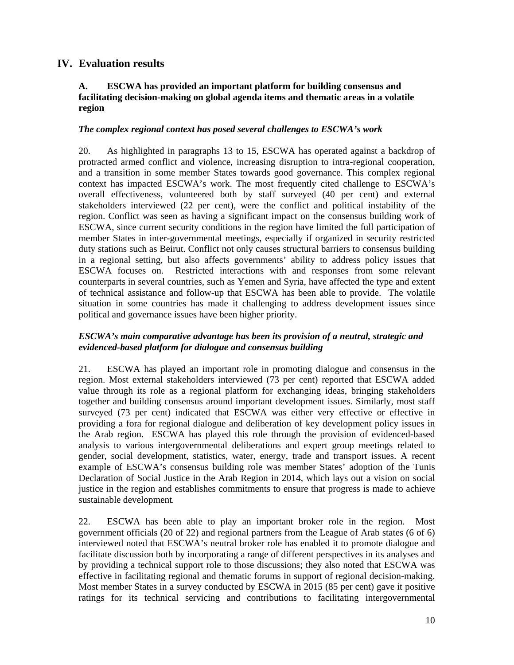# **IV. Evaluation results**

#### **A. ESCWA has provided an important platform for building consensus and facilitating decision-making on global agenda items and thematic areas in a volatile region**

#### *The complex regional context has posed several challenges to ESCWA's work*

20. As highlighted in paragraphs 13 to 15, ESCWA has operated against a backdrop of protracted armed conflict and violence, increasing disruption to intra-regional cooperation, and a transition in some member States towards good governance. This complex regional context has impacted ESCWA's work. The most frequently cited challenge to ESCWA's overall effectiveness, volunteered both by staff surveyed (40 per cent) and external stakeholders interviewed (22 per cent), were the conflict and political instability of the region. Conflict was seen as having a significant impact on the consensus building work of ESCWA, since current security conditions in the region have limited the full participation of member States in inter-governmental meetings, especially if organized in security restricted duty stations such as Beirut. Conflict not only causes structural barriers to consensus building in a regional setting, but also affects governments' ability to address policy issues that ESCWA focuses on. Restricted interactions with and responses from some relevant counterparts in several countries, such as Yemen and Syria, have affected the type and extent of technical assistance and follow-up that ESCWA has been able to provide. The volatile situation in some countries has made it challenging to address development issues since political and governance issues have been higher priority.

#### *ESCWA's main comparative advantage has been its provision of a neutral, strategic and evidenced-based platform for dialogue and consensus building*

21. ESCWA has played an important role in promoting dialogue and consensus in the region. Most external stakeholders interviewed (73 per cent) reported that ESCWA added value through its role as a regional platform for exchanging ideas, bringing stakeholders together and building consensus around important development issues. Similarly, most staff surveyed (73 per cent) indicated that ESCWA was either very effective or effective in providing a fora for regional dialogue and deliberation of key development policy issues in the Arab region. ESCWA has played this role through the provision of evidenced-based analysis to various intergovernmental deliberations and expert group meetings related to gender, social development, statistics, water, energy, trade and transport issues. A recent example of ESCWA's consensus building role was member States' adoption of the Tunis Declaration of Social Justice in the Arab Region in 2014, which lays out a vision on social justice in the region and establishes commitments to ensure that progress is made to achieve sustainable development.

22. ESCWA has been able to play an important broker role in the region. Most government officials (20 of 22) and regional partners from the League of Arab states (6 of 6) interviewed noted that ESCWA's neutral broker role has enabled it to promote dialogue and facilitate discussion both by incorporating a range of different perspectives in its analyses and by providing a technical support role to those discussions; they also noted that ESCWA was effective in facilitating regional and thematic forums in support of regional decision-making. Most member States in a survey conducted by ESCWA in 2015 (85 per cent) gave it positive ratings for its technical servicing and contributions to facilitating intergovernmental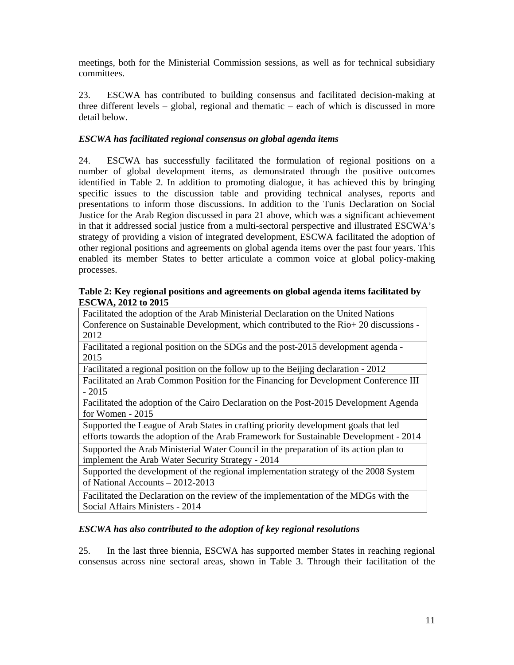meetings, both for the Ministerial Commission sessions, as well as for technical subsidiary committees.

23. ESCWA has contributed to building consensus and facilitated decision-making at three different levels – global, regional and thematic – each of which is discussed in more detail below.

# *ESCWA has facilitated regional consensus on global agenda items*

24. ESCWA has successfully facilitated the formulation of regional positions on a number of global development items, as demonstrated through the positive outcomes identified in Table 2. In addition to promoting dialogue, it has achieved this by bringing specific issues to the discussion table and providing technical analyses, reports and presentations to inform those discussions. In addition to the Tunis Declaration on Social Justice for the Arab Region discussed in para 21 above, which was a significant achievement in that it addressed social justice from a multi-sectoral perspective and illustrated ESCWA's strategy of providing a vision of integrated development, ESCWA facilitated the adoption of other regional positions and agreements on global agenda items over the past four years. This enabled its member States to better articulate a common voice at global policy-making processes.

#### **Table 2: Key regional positions and agreements on global agenda items facilitated by ESCWA, 2012 to 2015**

Facilitated the adoption of the Arab Ministerial Declaration on the United Nations Conference on Sustainable Development, which contributed to the Rio+ 20 discussions - 2012 Facilitated a regional position on the SDGs and the post-2015 development agenda - 2015 Facilitated a regional position on the follow up to the Beijing declaration - 2012 Facilitated an Arab Common Position for the Financing for Development Conference III - 2015 Facilitated the adoption of the Cairo Declaration on the Post-2015 Development Agenda for Women - 2015 Supported the League of Arab States in crafting priority development goals that led efforts towards the adoption of the Arab Framework for Sustainable Development - 2014 Supported the Arab Ministerial Water Council in the preparation of its action plan to implement the Arab Water Security Strategy - 2014 Supported the development of the regional implementation strategy of the 2008 System of National Accounts – 2012-2013 Facilitated the Declaration on the review of the implementation of the MDGs with the

Social Affairs Ministers - 2014

### *ESCWA has also contributed to the adoption of key regional resolutions*

25. In the last three biennia, ESCWA has supported member States in reaching regional consensus across nine sectoral areas, shown in Table 3. Through their facilitation of the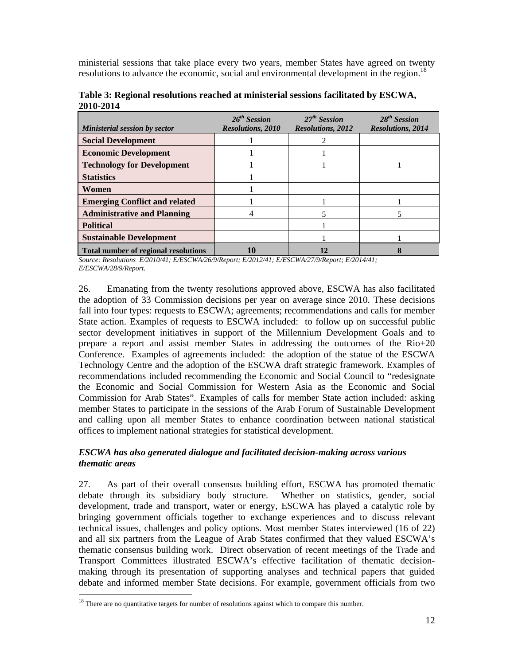ministerial sessions that take place every two years, member States have agreed on twenty resolutions to advance the economic, social and environmental development in the region.<sup>18</sup>

| Table 3: Regional resolutions reached at ministerial sessions facilitated by ESCWA, |  |
|-------------------------------------------------------------------------------------|--|
| 2010-2014                                                                           |  |

| Ministerial session by sector               | $26^{th}$ Session<br><b>Resolutions, 2010</b> | 27 <sup>th</sup> Session<br><b>Resolutions, 2012</b> | 28 <sup>th</sup> Session<br><b>Resolutions, 2014</b> |
|---------------------------------------------|-----------------------------------------------|------------------------------------------------------|------------------------------------------------------|
| <b>Social Development</b>                   |                                               |                                                      |                                                      |
| <b>Economic Development</b>                 |                                               |                                                      |                                                      |
| <b>Technology for Development</b>           |                                               |                                                      |                                                      |
| <b>Statistics</b>                           |                                               |                                                      |                                                      |
| Women                                       |                                               |                                                      |                                                      |
| <b>Emerging Conflict and related</b>        |                                               |                                                      |                                                      |
| <b>Administrative and Planning</b>          |                                               |                                                      |                                                      |
| <b>Political</b>                            |                                               |                                                      |                                                      |
| <b>Sustainable Development</b>              |                                               |                                                      |                                                      |
| <b>Total number of regional resolutions</b> |                                               |                                                      |                                                      |

*Source: Resolutions E/2010/41; E/ESCWA/26/9/Report; E/2012/41; E/ESCWA/27/9/Report; E/2014/41; E/ESCWA/28/9/Report.* 

26. Emanating from the twenty resolutions approved above, ESCWA has also facilitated the adoption of 33 Commission decisions per year on average since 2010. These decisions fall into four types: requests to ESCWA; agreements; recommendations and calls for member State action. Examples of requests to ESCWA included: to follow up on successful public sector development initiatives in support of the Millennium Development Goals and to prepare a report and assist member States in addressing the outcomes of the Rio+20 Conference. Examples of agreements included: the adoption of the statue of the ESCWA Technology Centre and the adoption of the ESCWA draft strategic framework. Examples of recommendations included recommending the Economic and Social Council to "redesignate the Economic and Social Commission for Western Asia as the Economic and Social Commission for Arab States". Examples of calls for member State action included: asking member States to participate in the sessions of the Arab Forum of Sustainable Development and calling upon all member States to enhance coordination between national statistical offices to implement national strategies for statistical development.

# *ESCWA has also generated dialogue and facilitated decision-making across various thematic areas*

27. As part of their overall consensus building effort, ESCWA has promoted thematic debate through its subsidiary body structure. Whether on statistics, gender, social development, trade and transport, water or energy, ESCWA has played a catalytic role by bringing government officials together to exchange experiences and to discuss relevant technical issues, challenges and policy options. Most member States interviewed (16 of 22) and all six partners from the League of Arab States confirmed that they valued ESCWA's thematic consensus building work. Direct observation of recent meetings of the Trade and Transport Committees illustrated ESCWA's effective facilitation of thematic decisionmaking through its presentation of supporting analyses and technical papers that guided debate and informed member State decisions. For example, government officials from two

-

 $18$  There are no quantitative targets for number of resolutions against which to compare this number.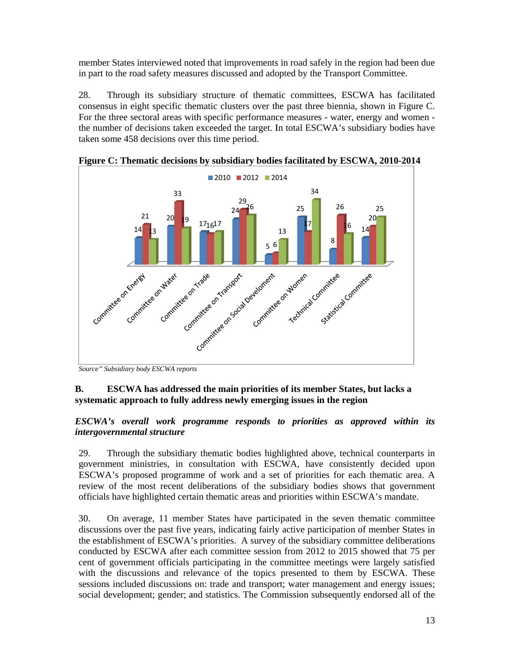member States interviewed noted that improvements in road safely in the region had been due in part to the road safety measures discussed and adopted by the Transport Committee.

28. consensus in eight specific thematic clusters over the past three biennia, shown in Figure C. For the three sectoral areas with specific performance measures - water, energy and women the number of decisions taken exceeded the target. In total ESCWA's subsidiary bodies have taken some 458 decisions over this time period. Through its subsidiary structure of thematic committees, ESCWA has facilitated



Figure C: Thematic decisions by subsidiary bodies facilitated by ESCWA, 2010-2014

#### **B.**  systematic approach to fully address newly emerging issues in the region **ESCWA** has addressed the main priorities of its member States, but lacks a

#### *ESCWA's overall work programme responds to priorities as approved within its intergovernmental structure*

29. government ministries, in consultation with ESCWA, have consistently decided upon ESCWA's proposed programme of work and a set of priorities for each thematic area. A review of the most recent deliberations of the subsidiary bodies shows that government officials have highlighted certain thematic areas and priorities within ESCWA's mandate. Through the subsidiary thematic bodies highlighted above, technical counterparts in

30. discussions over the past five years, indicating fairly active participation of member States in the establishment of ESCWA's priorities. A survey of the subsidiary committee deliberations conducted by ESCWA after each committee session from 2012 to 2015 showed that 75 per cent of government officials participating in the committee meetings were largely satisfied with the discussions and relevance of the topics presented to them by ESCWA. These sessions included discussions on: trade and transport; water management and energy issues; social development; gender; and statistics. The Commission subsequently endorsed all of the On average, 11 member States have participated in the seven thematic committee

Source" Subsidiary body ESCWA reports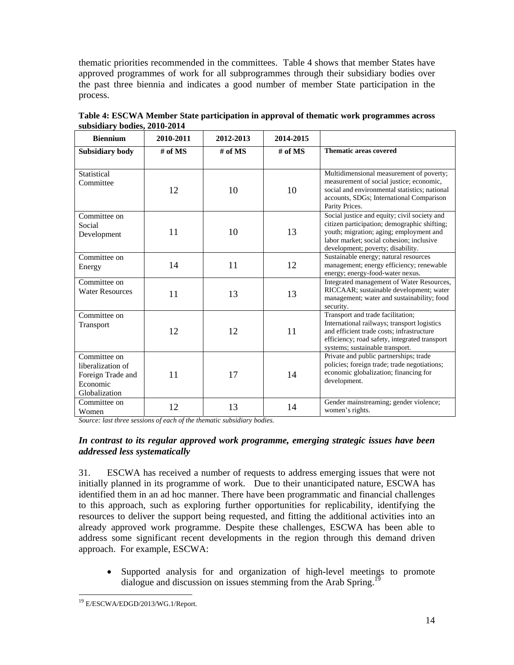thematic priorities recommended in the committees. Table 4 shows that member States have approved programmes of work for all subprogrammes through their subsidiary bodies over the past three biennia and indicates a good number of member State participation in the process.

| <b>Biennium</b>                                                                     | 2010-2011 | 2012-2013 | 2014-2015             |                                                                                                                                                                                                                          |
|-------------------------------------------------------------------------------------|-----------|-----------|-----------------------|--------------------------------------------------------------------------------------------------------------------------------------------------------------------------------------------------------------------------|
| Subsidiary body                                                                     | # of $MS$ | # of $MS$ | $\overline{\#}$ of MS | <b>Thematic areas covered</b>                                                                                                                                                                                            |
| Statistical<br>Committee                                                            | 12        | 10        | 10                    | Multidimensional measurement of poverty;<br>measurement of social justice; economic,<br>social and environmental statistics; national<br>accounts, SDGs; International Comparison<br>Parity Prices.                      |
| Committee on<br>Social<br>Development                                               | 11        | 10        | 13                    | Social justice and equity; civil society and<br>citizen participation; demographic shifting;<br>youth; migration; aging; employment and<br>labor market; social cohesion; inclusive<br>development; poverty; disability. |
| Committee on<br>Energy                                                              | 14        | 11        | 12                    | Sustainable energy; natural resources<br>management; energy efficiency; renewable<br>energy; energy-food-water nexus.                                                                                                    |
| Committee on<br><b>Water Resources</b>                                              | 11        | 13        | 13                    | Integrated management of Water Resources,<br>RICCAAR; sustainable development; water<br>management; water and sustainability; food<br>security.                                                                          |
| Committee on<br>Transport                                                           | 12        | 12        | 11                    | Transport and trade facilitation;<br>International railways; transport logistics<br>and efficient trade costs; infrastructure<br>efficiency; road safety, integrated transport<br>systems; sustainable transport.        |
| Committee on<br>liberalization of<br>Foreign Trade and<br>Economic<br>Globalization | 11        | 17        | 14                    | Private and public partnerships; trade<br>policies; foreign trade; trade negotiations;<br>economic globalization; financing for<br>development.                                                                          |
| Committee on<br>Women                                                               | 12        | 13        | 14                    | Gender mainstreaming; gender violence;<br>women's rights.                                                                                                                                                                |

**Table 4: ESCWA Member State participation in approval of thematic work programmes across subsidiary bodies, 2010-2014** 

*Source: last three sessions of each of the thematic subsidiary bodies.* 

#### *In contrast to its regular approved work programme, emerging strategic issues have been addressed less systematically*

31. ESCWA has received a number of requests to address emerging issues that were not initially planned in its programme of work. Due to their unanticipated nature, ESCWA has identified them in an ad hoc manner. There have been programmatic and financial challenges to this approach, such as exploring further opportunities for replicability, identifying the resources to deliver the support being requested, and fitting the additional activities into an already approved work programme. Despite these challenges, ESCWA has been able to address some significant recent developments in the region through this demand driven approach. For example, ESCWA:

• Supported analysis for and organization of high-level meetings to promote dialogue and discussion on issues stemming from the Arab Spring.<sup>19</sup>

<sup>-</sup><sup>19</sup> E/ESCWA/EDGD/2013/WG.1/Report.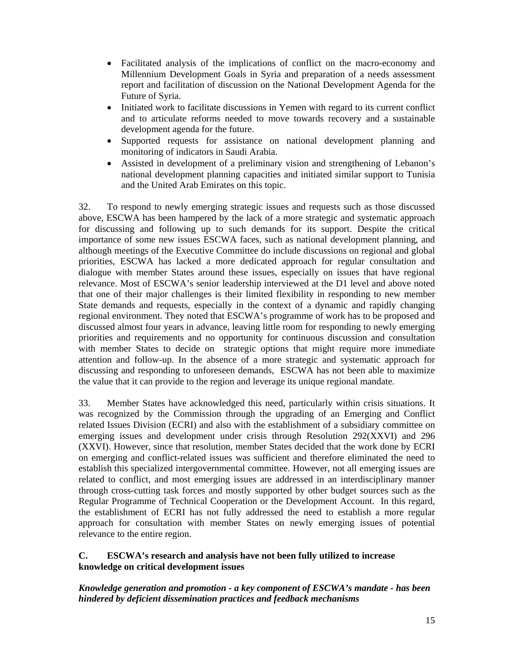- Facilitated analysis of the implications of conflict on the macro-economy and Millennium Development Goals in Syria and preparation of a needs assessment report and facilitation of discussion on the National Development Agenda for the Future of Syria.
- Initiated work to facilitate discussions in Yemen with regard to its current conflict and to articulate reforms needed to move towards recovery and a sustainable development agenda for the future.
- Supported requests for assistance on national development planning and monitoring of indicators in Saudi Arabia.
- Assisted in development of a preliminary vision and strengthening of Lebanon's national development planning capacities and initiated similar support to Tunisia and the United Arab Emirates on this topic.

32. To respond to newly emerging strategic issues and requests such as those discussed above, ESCWA has been hampered by the lack of a more strategic and systematic approach for discussing and following up to such demands for its support. Despite the critical importance of some new issues ESCWA faces, such as national development planning, and although meetings of the Executive Committee do include discussions on regional and global priorities, ESCWA has lacked a more dedicated approach for regular consultation and dialogue with member States around these issues, especially on issues that have regional relevance. Most of ESCWA's senior leadership interviewed at the D1 level and above noted that one of their major challenges is their limited flexibility in responding to new member State demands and requests, especially in the context of a dynamic and rapidly changing regional environment. They noted that ESCWA's programme of work has to be proposed and discussed almost four years in advance, leaving little room for responding to newly emerging priorities and requirements and no opportunity for continuous discussion and consultation with member States to decide on strategic options that might require more immediate attention and follow-up. In the absence of a more strategic and systematic approach for discussing and responding to unforeseen demands, ESCWA has not been able to maximize the value that it can provide to the region and leverage its unique regional mandate.

33. Member States have acknowledged this need, particularly within crisis situations. It was recognized by the Commission through the upgrading of an Emerging and Conflict related Issues Division (ECRI) and also with the establishment of a subsidiary committee on emerging issues and development under crisis through Resolution 292(XXVI) and 296 (XXVI). However, since that resolution, member States decided that the work done by ECRI on emerging and conflict-related issues was sufficient and therefore eliminated the need to establish this specialized intergovernmental committee. However, not all emerging issues are related to conflict, and most emerging issues are addressed in an interdisciplinary manner through cross-cutting task forces and mostly supported by other budget sources such as the Regular Programme of Technical Cooperation or the Development Account. In this regard, the establishment of ECRI has not fully addressed the need to establish a more regular approach for consultation with member States on newly emerging issues of potential relevance to the entire region.

#### **C. ESCWA's research and analysis have not been fully utilized to increase knowledge on critical development issues**

*Knowledge generation and promotion - a key component of ESCWA's mandate - has been hindered by deficient dissemination practices and feedback mechanisms*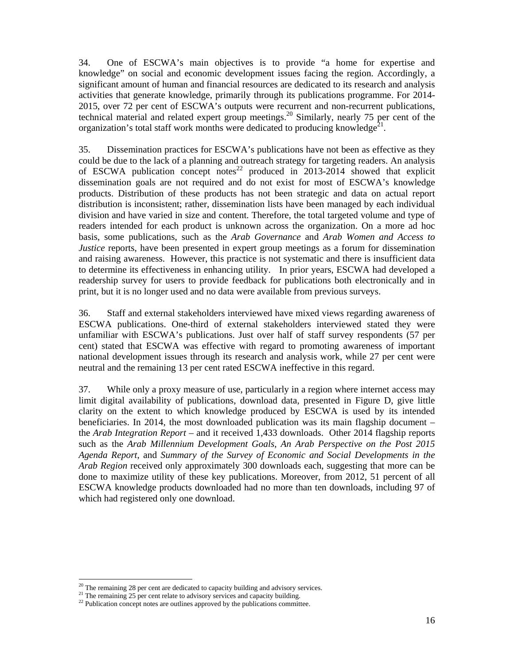34. One of ESCWA's main objectives is to provide "a home for expertise and knowledge" on social and economic development issues facing the region. Accordingly, a significant amount of human and financial resources are dedicated to its research and analysis activities that generate knowledge, primarily through its publications programme. For 2014- 2015, over 72 per cent of ESCWA's outputs were recurrent and non-recurrent publications, technical material and related expert group meetings.<sup>20</sup> Similarly, nearly 75 per cent of the organization's total staff work months were dedicated to producing knowledge<sup>21</sup>.

35. Dissemination practices for ESCWA's publications have not been as effective as they could be due to the lack of a planning and outreach strategy for targeting readers. An analysis of ESCWA publication concept notes<sup>22</sup> produced in 2013-2014 showed that explicit dissemination goals are not required and do not exist for most of ESCWA's knowledge products. Distribution of these products has not been strategic and data on actual report distribution is inconsistent; rather, dissemination lists have been managed by each individual division and have varied in size and content. Therefore, the total targeted volume and type of readers intended for each product is unknown across the organization. On a more ad hoc basis, some publications, such as the *Arab Governance* and *Arab Women and Access to Justice* reports, have been presented in expert group meetings as a forum for dissemination and raising awareness. However, this practice is not systematic and there is insufficient data to determine its effectiveness in enhancing utility. In prior years, ESCWA had developed a readership survey for users to provide feedback for publications both electronically and in print, but it is no longer used and no data were available from previous surveys.

36. Staff and external stakeholders interviewed have mixed views regarding awareness of ESCWA publications. One-third of external stakeholders interviewed stated they were unfamiliar with ESCWA's publications. Just over half of staff survey respondents (57 per cent) stated that ESCWA was effective with regard to promoting awareness of important national development issues through its research and analysis work, while 27 per cent were neutral and the remaining 13 per cent rated ESCWA ineffective in this regard.

37. While only a proxy measure of use, particularly in a region where internet access may limit digital availability of publications, download data, presented in Figure D, give little clarity on the extent to which knowledge produced by ESCWA is used by its intended beneficiaries. In 2014, the most downloaded publication was its main flagship document – the *Arab Integration Report* – and it received 1,433 downloads. Other 2014 flagship reports such as the *Arab Millennium Development Goals*, *An Arab Perspective on the Post 2015 Agenda Report*, and *Summary of the Survey of Economic and Social Developments in the Arab Region* received only approximately 300 downloads each, suggesting that more can be done to maximize utility of these key publications. Moreover, from 2012, 51 percent of all ESCWA knowledge products downloaded had no more than ten downloads, including 97 of which had registered only one download.

-

 $20$  The remaining 28 per cent are dedicated to capacity building and advisory services.

<sup>&</sup>lt;sup>21</sup> The remaining 25 per cent relate to advisory services and capacity building. <sup>22</sup> Publication concept notes are outlines approved by the publications committee.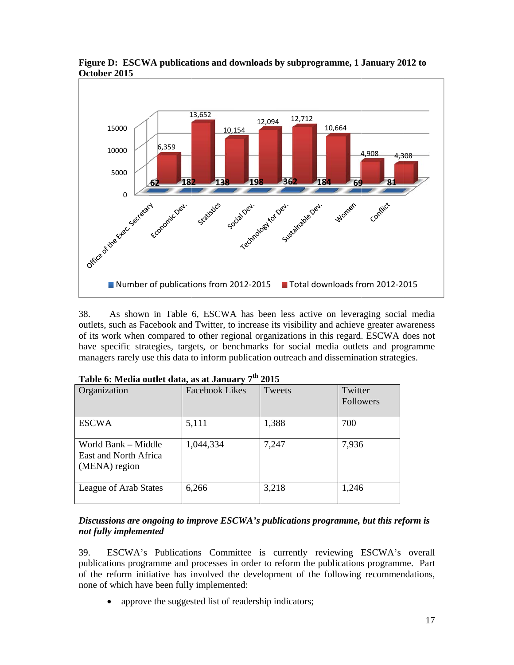

**Figure D: ESCWA publications and downloads by subprogramme, 1 January 2012 to Octobe er 2015**

38. outlets, such as Facebook and Twitter, to increase its visibility and achieve greater awareness of its work when compared to other regional organizations in this regard. ESCWA does not have specific strategies, targets, or benchmarks for social media outlets and programme managers rarely use this data to inform publication outreach and dissemination strategies. As shown in Table 6, ESCWA has been less active on leveraging social media

| Organization                                                  | <b>Facebook Likes</b> | Tweets | Twitter<br>Followers |
|---------------------------------------------------------------|-----------------------|--------|----------------------|
| <b>ESCWA</b>                                                  | 5,111                 | 1,388  | 700                  |
| World Bank - Middle<br>East and North Africa<br>(MENA) region | 1,044,334             | 7,247  | 7,936                |
| League of Arab States                                         | 6,266                 | 3,218  | 1,246                |

|  |  |  |  |  | Table 6: Media outlet data, as at January 7 <sup>th</sup> 2015 |  |  |
|--|--|--|--|--|----------------------------------------------------------------|--|--|
|--|--|--|--|--|----------------------------------------------------------------|--|--|

#### *Discussions are ongoing to improve ESCWA's publications programme, but this reform is not fully ly implemen nted*

39. publications programme and processes in order to reform the publications programme. Part of the reform initiative has involved the development of the following recommendations, none of which have been fully implemented: ESCWA's Publications Committee is currently reviewing ESCWA's overall

• approve the suggested list of readership indicators;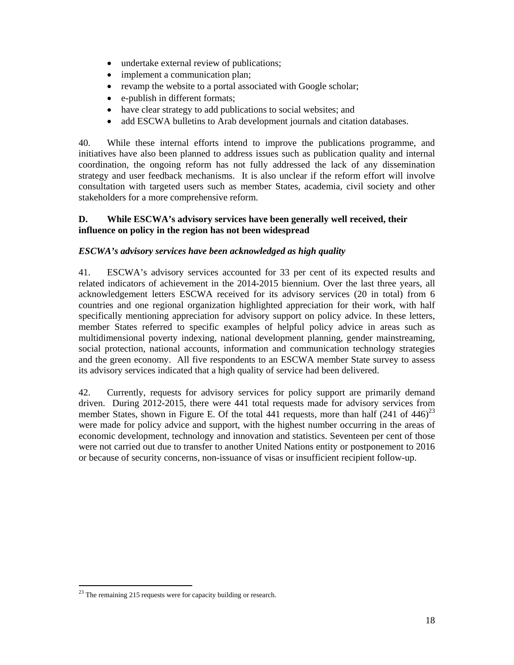- undertake external review of publications;
- implement a communication plan:
- revamp the website to a portal associated with Google scholar;
- e-publish in different formats;
- have clear strategy to add publications to social websites; and
- add ESCWA bulletins to Arab development journals and citation databases.

40. While these internal efforts intend to improve the publications programme, and initiatives have also been planned to address issues such as publication quality and internal coordination, the ongoing reform has not fully addressed the lack of any dissemination strategy and user feedback mechanisms. It is also unclear if the reform effort will involve consultation with targeted users such as member States, academia, civil society and other stakeholders for a more comprehensive reform.

#### **D. While ESCWA's advisory services have been generally well received, their influence on policy in the region has not been widespread**

#### *ESCWA's advisory services have been acknowledged as high quality*

41. ESCWA's advisory services accounted for 33 per cent of its expected results and related indicators of achievement in the 2014-2015 biennium. Over the last three years, all acknowledgement letters ESCWA received for its advisory services (20 in total) from 6 countries and one regional organization highlighted appreciation for their work, with half specifically mentioning appreciation for advisory support on policy advice. In these letters, member States referred to specific examples of helpful policy advice in areas such as multidimensional poverty indexing, national development planning, gender mainstreaming, social protection, national accounts, information and communication technology strategies and the green economy. All five respondents to an ESCWA member State survey to assess its advisory services indicated that a high quality of service had been delivered.

42. Currently, requests for advisory services for policy support are primarily demand driven. During 2012-2015, there were 441 total requests made for advisory services from member States, shown in Figure E. Of the total 441 requests, more than half  $(241 \text{ of } 446)^{23}$ were made for policy advice and support, with the highest number occurring in the areas of economic development, technology and innovation and statistics. Seventeen per cent of those were not carried out due to transfer to another United Nations entity or postponement to 2016 or because of security concerns, non-issuance of visas or insufficient recipient follow-up.

-

 $23$  The remaining 215 requests were for capacity building or research.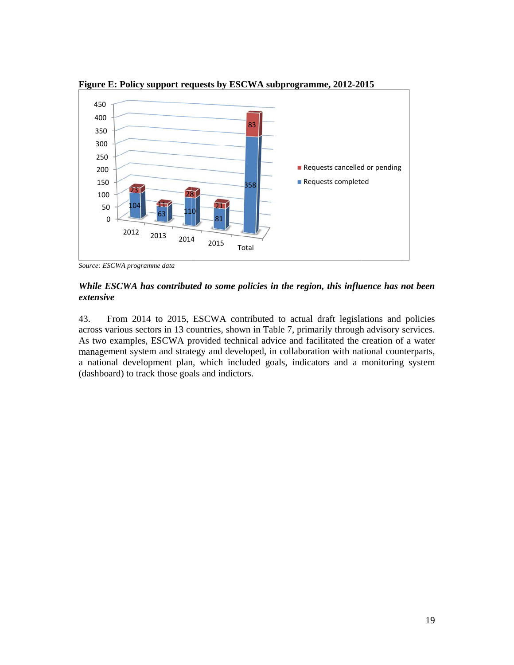

**Figure E: Policy support requests by ESCWA subprogramme, 2012-2015** 

Source: ESCWA programme data

#### *While ESCWA has contributed to some policies in the region, this influence has not been extensive*

43. across various sectors in 13 countries, shown in Table 7, primarily through advisory services. As two examples, ESCWA provided technical advice and facilitated the creation of a water management system and strategy and developed, in collaboration with national counterparts, a national development plan, which included goals, indicators and a monitoring system (dashboard) to track those goals and indictors. From 2014 to 2015, ESCWA contributed to actual draft legislations and policies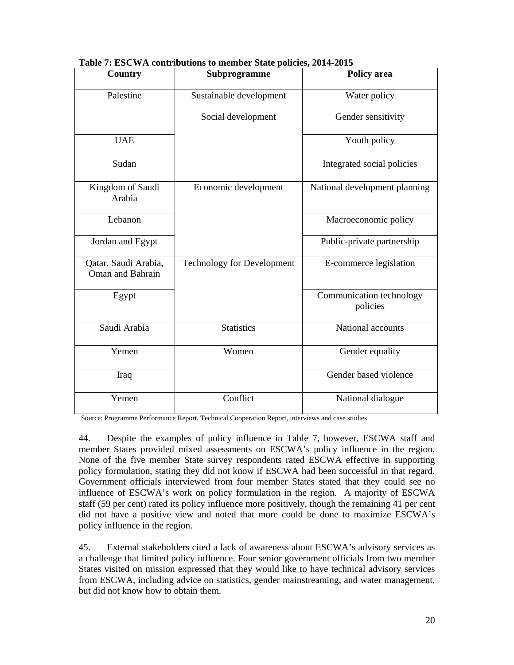| Country                                  | Subprogramme                      | Policy area                          |
|------------------------------------------|-----------------------------------|--------------------------------------|
| Palestine                                | Sustainable development           | Water policy                         |
|                                          | Social development                | Gender sensitivity                   |
| <b>UAE</b>                               |                                   | Youth policy                         |
| Sudan                                    |                                   | Integrated social policies           |
| Kingdom of Saudi<br>Arabia               | Economic development              | National development planning        |
| Lebanon                                  |                                   | Macroeconomic policy                 |
| Jordan and Egypt                         |                                   | Public-private partnership           |
| Qatar, Saudi Arabia,<br>Oman and Bahrain | <b>Technology for Development</b> | E-commerce legislation               |
| Egypt                                    |                                   | Communication technology<br>policies |
| Saudi Arabia                             | <b>Statistics</b>                 | National accounts                    |
| Yemen                                    | Women                             | Gender equality                      |
| Iraq                                     |                                   | Gender based violence                |
| Yemen                                    | Conflict                          | National dialogue                    |

**Table 7: ESCWA contributions to member State policies, 2014-2015** 

Source: Programme Performance Report, Technical Cooperation Report, interviews and case studies

44. Despite the examples of policy influence in Table 7, however, ESCWA staff and member States provided mixed assessments on ESCWA's policy influence in the region. None of the five member State survey respondents rated ESCWA effective in supporting policy formulation, stating they did not know if ESCWA had been successful in that regard. Government officials interviewed from four member States stated that they could see no influence of ESCWA's work on policy formulation in the region. A majority of ESCWA staff (59 per cent) rated its policy influence more positively, though the remaining 41 per cent did not have a positive view and noted that more could be done to maximize ESCWA's policy influence in the region.

45. External stakeholders cited a lack of awareness about ESCWA's advisory services as a challenge that limited policy influence. Four senior government officials from two member States visited on mission expressed that they would like to have technical advisory services from ESCWA, including advice on statistics, gender mainstreaming, and water management, but did not know how to obtain them.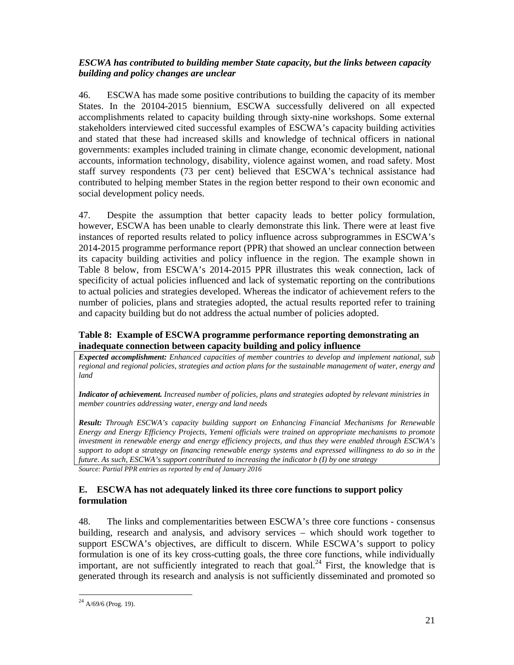# *ESCWA has contributed to building member State capacity, but the links between capacity building and policy changes are unclear*

46. ESCWA has made some positive contributions to building the capacity of its member States. In the 20104-2015 biennium, ESCWA successfully delivered on all expected accomplishments related to capacity building through sixty-nine workshops. Some external stakeholders interviewed cited successful examples of ESCWA's capacity building activities and stated that these had increased skills and knowledge of technical officers in national governments: examples included training in climate change, economic development, national accounts, information technology, disability, violence against women, and road safety. Most staff survey respondents (73 per cent) believed that ESCWA's technical assistance had contributed to helping member States in the region better respond to their own economic and social development policy needs.

47. Despite the assumption that better capacity leads to better policy formulation, however, ESCWA has been unable to clearly demonstrate this link. There were at least five instances of reported results related to policy influence across subprogrammes in ESCWA's 2014-2015 programme performance report (PPR) that showed an unclear connection between its capacity building activities and policy influence in the region. The example shown in Table 8 below, from ESCWA's 2014-2015 PPR illustrates this weak connection, lack of specificity of actual policies influenced and lack of systematic reporting on the contributions to actual policies and strategies developed. Whereas the indicator of achievement refers to the number of policies, plans and strategies adopted, the actual results reported refer to training and capacity building but do not address the actual number of policies adopted.

#### **Table 8: Example of ESCWA programme performance reporting demonstrating an inadequate connection between capacity building and policy influence**

*Expected accomplishment: Enhanced capacities of member countries to develop and implement national, sub regional and regional policies, strategies and action plans for the sustainable management of water, energy and land* 

*Indicator of achievement. Increased number of policies, plans and strategies adopted by relevant ministries in member countries addressing water, energy and land needs* 

*Result: Through ESCWA's capacity building support on Enhancing Financial Mechanisms for Renewable Energy and Energy Efficiency Projects, Yemeni officials were trained on appropriate mechanisms to promote investment in renewable energy and energy efficiency projects, and thus they were enabled through ESCWA's support to adopt a strategy on financing renewable energy systems and expressed willingness to do so in the future. As such, ESCWA's support contributed to increasing the indicator b (I) by one strategy* 

*Source: Partial PPR entries as reported by end of January 2016* 

#### **E. ESCWA has not adequately linked its three core functions to support policy formulation**

48. The links and complementarities between ESCWA's three core functions - consensus building, research and analysis, and advisory services – which should work together to support ESCWA's objectives, are difficult to discern. While ESCWA's support to policy formulation is one of its key cross-cutting goals, the three core functions, while individually important, are not sufficiently integrated to reach that goal.<sup>24</sup> First, the knowledge that is generated through its research and analysis is not sufficiently disseminated and promoted so

<sup>-</sup> $^{24}$  A/69/6 (Prog. 19).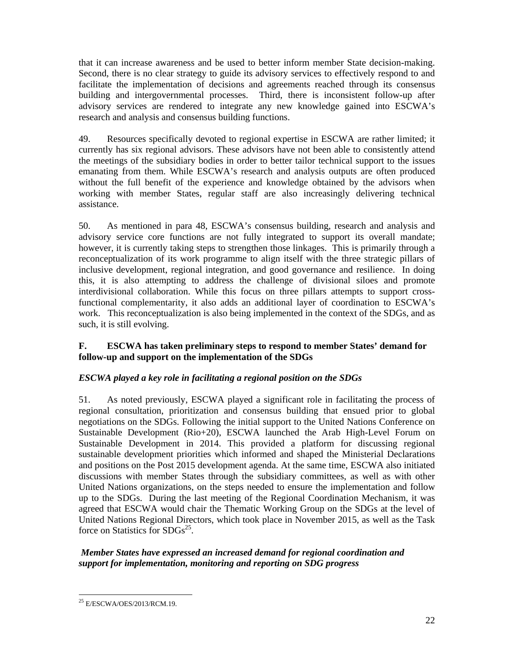that it can increase awareness and be used to better inform member State decision-making. Second, there is no clear strategy to guide its advisory services to effectively respond to and facilitate the implementation of decisions and agreements reached through its consensus building and intergovernmental processes. Third, there is inconsistent follow-up after advisory services are rendered to integrate any new knowledge gained into ESCWA's research and analysis and consensus building functions.

49. Resources specifically devoted to regional expertise in ESCWA are rather limited; it currently has six regional advisors. These advisors have not been able to consistently attend the meetings of the subsidiary bodies in order to better tailor technical support to the issues emanating from them. While ESCWA's research and analysis outputs are often produced without the full benefit of the experience and knowledge obtained by the advisors when working with member States, regular staff are also increasingly delivering technical assistance.

50. As mentioned in para 48, ESCWA's consensus building, research and analysis and advisory service core functions are not fully integrated to support its overall mandate; however, it is currently taking steps to strengthen those linkages. This is primarily through a reconceptualization of its work programme to align itself with the three strategic pillars of inclusive development, regional integration, and good governance and resilience. In doing this, it is also attempting to address the challenge of divisional siloes and promote interdivisional collaboration. While this focus on three pillars attempts to support crossfunctional complementarity, it also adds an additional layer of coordination to ESCWA's work. This reconceptualization is also being implemented in the context of the SDGs, and as such, it is still evolving.

#### **F. ESCWA has taken preliminary steps to respond to member States' demand for follow-up and support on the implementation of the SDGs**

# *ESCWA played a key role in facilitating a regional position on the SDGs*

51. As noted previously, ESCWA played a significant role in facilitating the process of regional consultation, prioritization and consensus building that ensued prior to global negotiations on the SDGs. Following the initial support to the United Nations Conference on Sustainable Development (Rio+20), ESCWA launched the Arab High-Level Forum on Sustainable Development in 2014. This provided a platform for discussing regional sustainable development priorities which informed and shaped the Ministerial Declarations and positions on the Post 2015 development agenda. At the same time, ESCWA also initiated discussions with member States through the subsidiary committees, as well as with other United Nations organizations, on the steps needed to ensure the implementation and follow up to the SDGs. During the last meeting of the Regional Coordination Mechanism, it was agreed that ESCWA would chair the Thematic Working Group on the SDGs at the level of United Nations Regional Directors, which took place in November 2015, as well as the Task force on Statistics for  $SDGs^{25}$ .

# *Member States have expressed an increased demand for regional coordination and support for implementation, monitoring and reporting on SDG progress*

<sup>-</sup><sup>25</sup> E/ESCWA/OES/2013/RCM.19.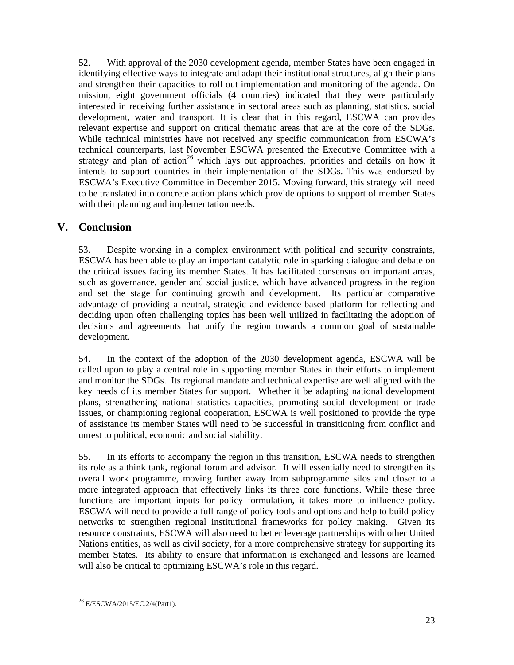52. With approval of the 2030 development agenda, member States have been engaged in identifying effective ways to integrate and adapt their institutional structures, align their plans and strengthen their capacities to roll out implementation and monitoring of the agenda. On mission, eight government officials (4 countries) indicated that they were particularly interested in receiving further assistance in sectoral areas such as planning, statistics, social development, water and transport. It is clear that in this regard, ESCWA can provides relevant expertise and support on critical thematic areas that are at the core of the SDGs. While technical ministries have not received any specific communication from ESCWA's technical counterparts, last November ESCWA presented the Executive Committee with a strategy and plan of action<sup>26</sup> which lays out approaches, priorities and details on how it intends to support countries in their implementation of the SDGs. This was endorsed by ESCWA's Executive Committee in December 2015. Moving forward, this strategy will need to be translated into concrete action plans which provide options to support of member States with their planning and implementation needs.

# **V. Conclusion**

53. Despite working in a complex environment with political and security constraints, ESCWA has been able to play an important catalytic role in sparking dialogue and debate on the critical issues facing its member States. It has facilitated consensus on important areas, such as governance, gender and social justice, which have advanced progress in the region and set the stage for continuing growth and development. Its particular comparative advantage of providing a neutral, strategic and evidence-based platform for reflecting and deciding upon often challenging topics has been well utilized in facilitating the adoption of decisions and agreements that unify the region towards a common goal of sustainable development.

54. In the context of the adoption of the 2030 development agenda, ESCWA will be called upon to play a central role in supporting member States in their efforts to implement and monitor the SDGs. Its regional mandate and technical expertise are well aligned with the key needs of its member States for support. Whether it be adapting national development plans, strengthening national statistics capacities, promoting social development or trade issues, or championing regional cooperation, ESCWA is well positioned to provide the type of assistance its member States will need to be successful in transitioning from conflict and unrest to political, economic and social stability.

55. In its efforts to accompany the region in this transition, ESCWA needs to strengthen its role as a think tank, regional forum and advisor. It will essentially need to strengthen its overall work programme, moving further away from subprogramme silos and closer to a more integrated approach that effectively links its three core functions. While these three functions are important inputs for policy formulation, it takes more to influence policy. ESCWA will need to provide a full range of policy tools and options and help to build policy networks to strengthen regional institutional frameworks for policy making. Given its resource constraints, ESCWA will also need to better leverage partnerships with other United Nations entities, as well as civil society, for a more comprehensive strategy for supporting its member States. Its ability to ensure that information is exchanged and lessons are learned will also be critical to optimizing ESCWA's role in this regard.

<sup>-</sup><sup>26</sup> E/ESCWA/2015/EC.2/4(Part1).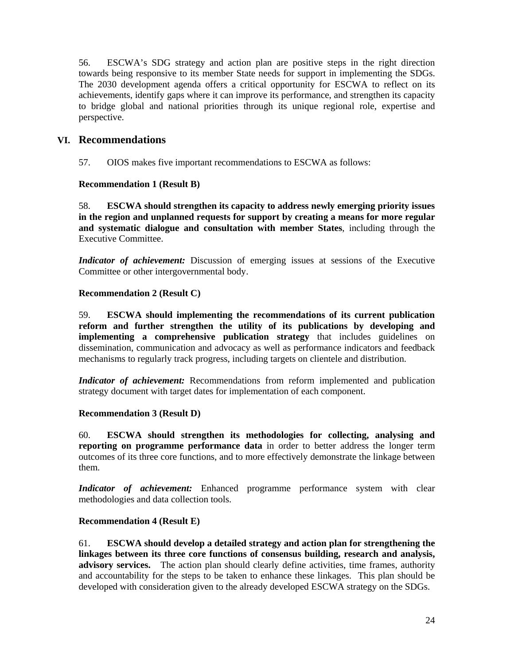56. ESCWA's SDG strategy and action plan are positive steps in the right direction towards being responsive to its member State needs for support in implementing the SDGs. The 2030 development agenda offers a critical opportunity for ESCWA to reflect on its achievements, identify gaps where it can improve its performance, and strengthen its capacity to bridge global and national priorities through its unique regional role, expertise and perspective.

# **VI. Recommendations**

57. OIOS makes five important recommendations to ESCWA as follows:

#### **Recommendation 1 (Result B)**

58. **ESCWA should strengthen its capacity to address newly emerging priority issues in the region and unplanned requests for support by creating a means for more regular and systematic dialogue and consultation with member States**, including through the Executive Committee.

*Indicator of achievement:* Discussion of emerging issues at sessions of the Executive Committee or other intergovernmental body.

#### **Recommendation 2 (Result C)**

59. **ESCWA should implementing the recommendations of its current publication reform and further strengthen the utility of its publications by developing and implementing a comprehensive publication strategy** that includes guidelines on dissemination, communication and advocacy as well as performance indicators and feedback mechanisms to regularly track progress, including targets on clientele and distribution.

*Indicator of achievement:* Recommendations from reform implemented and publication strategy document with target dates for implementation of each component.

#### **Recommendation 3 (Result D)**

60. **ESCWA should strengthen its methodologies for collecting, analysing and reporting on programme performance data** in order to better address the longer term outcomes of its three core functions, and to more effectively demonstrate the linkage between them.

*Indicator of achievement:* Enhanced programme performance system with clear methodologies and data collection tools.

#### **Recommendation 4 (Result E)**

61. **ESCWA should develop a detailed strategy and action plan for strengthening the linkages between its three core functions of consensus building, research and analysis, advisory services.** The action plan should clearly define activities, time frames, authority and accountability for the steps to be taken to enhance these linkages. This plan should be developed with consideration given to the already developed ESCWA strategy on the SDGs.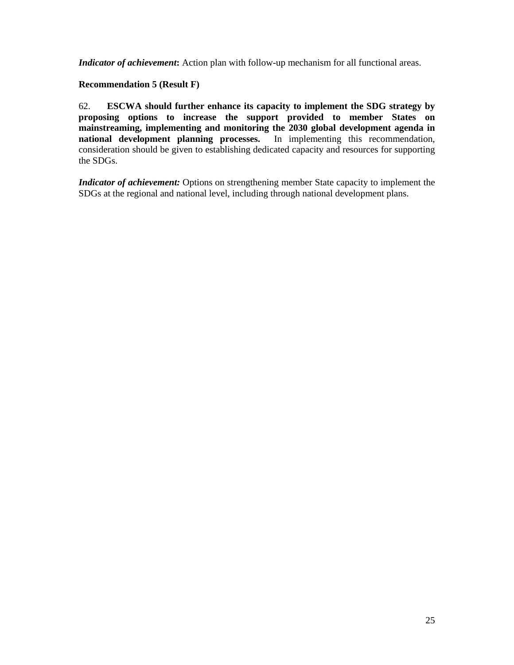*Indicator of achievement*: Action plan with follow-up mechanism for all functional areas.

#### **Recommendation 5 (Result F)**

62. **ESCWA should further enhance its capacity to implement the SDG strategy by proposing options to increase the support provided to member States on mainstreaming, implementing and monitoring the 2030 global development agenda in national development planning processes.** In implementing this recommendation, consideration should be given to establishing dedicated capacity and resources for supporting the SDGs.

*Indicator of achievement:* Options on strengthening member State capacity to implement the SDGs at the regional and national level, including through national development plans.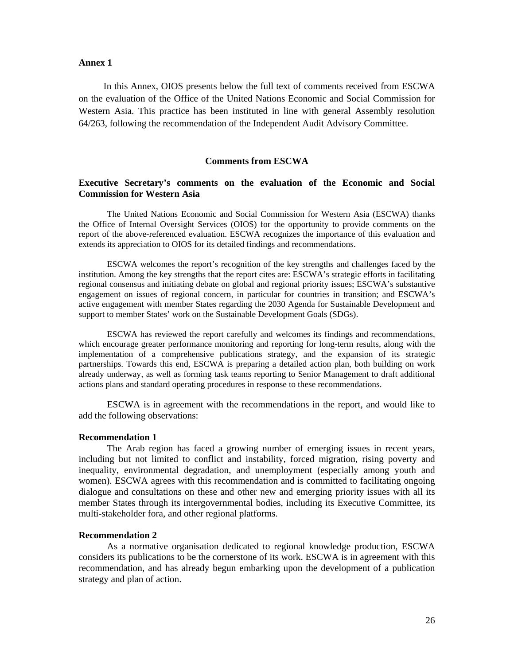#### **Annex 1**

 In this Annex, OIOS presents below the full text of comments received from ESCWA on the evaluation of the Office of the United Nations Economic and Social Commission for Western Asia. This practice has been instituted in line with general Assembly resolution 64/263, following the recommendation of the Independent Audit Advisory Committee.

#### **Comments from ESCWA**

#### **Executive Secretary's comments on the evaluation of the Economic and Social Commission for Western Asia**

The United Nations Economic and Social Commission for Western Asia (ESCWA) thanks the Office of Internal Oversight Services (OIOS) for the opportunity to provide comments on the report of the above-referenced evaluation. ESCWA recognizes the importance of this evaluation and extends its appreciation to OIOS for its detailed findings and recommendations.

ESCWA welcomes the report's recognition of the key strengths and challenges faced by the institution. Among the key strengths that the report cites are: ESCWA's strategic efforts in facilitating regional consensus and initiating debate on global and regional priority issues; ESCWA's substantive engagement on issues of regional concern, in particular for countries in transition; and ESCWA's active engagement with member States regarding the 2030 Agenda for Sustainable Development and support to member States' work on the Sustainable Development Goals (SDGs).

ESCWA has reviewed the report carefully and welcomes its findings and recommendations, which encourage greater performance monitoring and reporting for long-term results, along with the implementation of a comprehensive publications strategy, and the expansion of its strategic partnerships. Towards this end, ESCWA is preparing a detailed action plan, both building on work already underway, as well as forming task teams reporting to Senior Management to draft additional actions plans and standard operating procedures in response to these recommendations.

ESCWA is in agreement with the recommendations in the report, and would like to add the following observations:

#### **Recommendation 1**

The Arab region has faced a growing number of emerging issues in recent years, including but not limited to conflict and instability, forced migration, rising poverty and inequality, environmental degradation, and unemployment (especially among youth and women). ESCWA agrees with this recommendation and is committed to facilitating ongoing dialogue and consultations on these and other new and emerging priority issues with all its member States through its intergovernmental bodies, including its Executive Committee, its multi-stakeholder fora, and other regional platforms.

#### **Recommendation 2**

As a normative organisation dedicated to regional knowledge production, ESCWA considers its publications to be the cornerstone of its work. ESCWA is in agreement with this recommendation, and has already begun embarking upon the development of a publication strategy and plan of action.